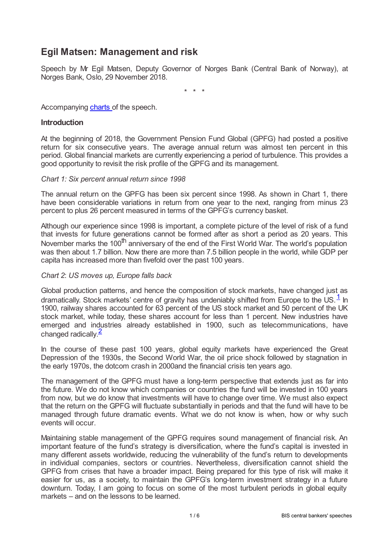# **Egil Matsen: Management and risk**

Speech by Mr Egil Matsen, Deputy Governor of Norges Bank (Central Bank of Norway), at Norges Bank, Oslo, 29 November 2018.

<span id="page-0-0"></span>\* \* \*

#### Accompanying [charts](www.bis.org/review/r181219g_slides.pdf) of the speech.

#### **Introduction**

At the beginning of 2018, the Government Pension Fund Global (GPFG) had posted a positive return for six consecutive years. The average annual return was almost ten percent in this period. Global financial markets are currently experiencing a period of turbulence. This provides a good opportunity to revisit the risk profile of the GPFG and its management.

#### *Chart 1: Six percent annual return since 1998*

The annual return on the GPFG has been six percent since 1998. As shown in Chart 1, there have been considerable variations in return from one year to the next, ranging from minus 23 percent to plus 26 percent measured in terms of the GPFG's currency basket.

Although our experience since 1998 is important, a complete picture of the level of risk of a fund that invests for future generations cannot be formed after as short a period as 20 years. This November marks the 100<sup>th</sup> anniversary of the end of the First World War. The world's population was then about 1.7 billion. Now there are more than 7.5 billion people in the world, while GDP per capita has increased more than fivefold over the past 100 years.

#### *Chart 2*: *US moves up, Europe falls back*

Global production patterns, and hence the composition of stock markets, have changed just as dramatically. Stock markets' centre of gravity has undeniably shifted from Europe to the US.<sup>[1](#page-5-0)</sup> In 1900, railway shares accounted for 63 percent of the US stock market and 50 percent of the UK stock market, while today, these shares account for less than 1 percent. New industries have emerged and industries already established in 1900, such as telecommunications, have changed radically.<sup>[2](#page-5-1)</sup>

<span id="page-0-1"></span>In the course of these past 100 years, global equity markets have experienced the Great Depression of the 1930s, the Second World War, the oil price shock followed by stagnation in the early 1970s, the dotcom crash in 2000and the financial crisis ten years ago.

The management of the GPFG must have a long-term perspective that extends just as far into the future. We do not know which companies or countries the fund will be invested in 100 years from now, but we do know that investments will have to change over time. We must also expect that the return on the GPFG will fluctuate substantially in periods and that the fund will have to be managed through future dramatic events. What we do not know is when, how or why such events will occur.

Maintaining stable management of the GPFG requires sound management of financial risk. An important feature of the fund's strategy is diversification, where the fund's capital is invested in many different assets worldwide, reducing the vulnerability of the fund's return to developments in individual companies, sectors or countries. Nevertheless, diversification cannot shield the GPFG from crises that have a broader impact. Being prepared for this type of risk will make it easier for us, as a society, to maintain the GPFG's long-term investment strategy in a future downturn. Today, I am going to focus on some of the most turbulent periods in global equity markets – and on the lessons to be learned.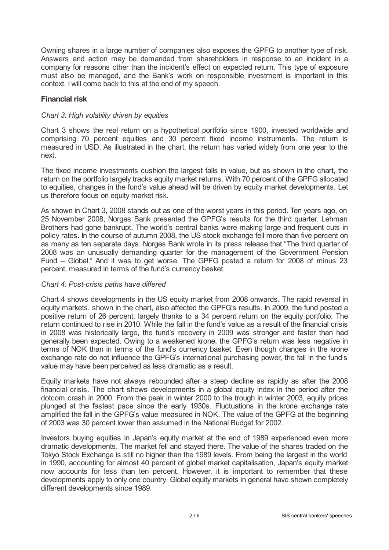Owning shares in a large number of companies also exposes the GPFG to another type of risk. Answers and action may be demanded from shareholders in response to an incident in a company for reasons other than the incident's effect on expected return. This type of exposure must also be managed, and the Bank's work on responsible investment is important in this context. I will come back to this at the end of my speech.

# **Financial risk**

# *Chart 3: High volatility driven by equities*

Chart 3 shows the real return on a hypothetical portfolio since 1900, invested worldwide and comprising 70 percent equities and 30 percent fixed income instruments. The return is measured in USD. As illustrated in the chart, the return has varied widely from one year to the next.

The fixed income investments cushion the largest falls in value, but as shown in the chart, the return on the portfolio largely tracks equity market returns. With 70 percent of the GPFG allocated to equities, changes in the fund's value ahead will be driven by equity market developments. Let us therefore focus on equity market risk.

As shown in Chart 3, 2008 stands out as one of the worst years in this period. Ten years ago, on 25 November 2008, Norges Bank presented the GPFG's results for the third quarter. Lehman Brothers had gone bankrupt. The world's central banks were making large and frequent cuts in policy rates. In the course of autumn 2008, the US stock exchange fell more than five percent on as many as ten separate days. Norges Bank wrote in its press release that "The third quarter of 2008 was an unusually demanding quarter for the management of the Government Pension Fund – Global." And it was to get worse. The GPFG posted a return for 2008 of minus 23 percent, measured in terms of the fund's currency basket.

# *Chart 4: Post-crisis paths have differed*

Chart 4 shows developments in the US equity market from 2008 onwards. The rapid reversal in equity markets, shown in the chart, also affected the GPFG's results. In 2009, the fund posted a positive return of 26 percent, largely thanks to a 34 percent return on the equity portfolio. The return continued to rise in 2010. While the fall in the fund's value as a result of the financial crisis in 2008 was historically large, the fund's recovery in 2009 was stronger and faster than had generally been expected. Owing to a weakened krone, the GPFG's return was less negative in terms of NOK than in terms of the fund's currency basket. Even though changes in the krone exchange rate do not influence the GPFG's international purchasing power, the fall in the fund's value may have been perceived as less dramatic as a result.

Equity markets have not always rebounded after a steep decline as rapidly as after the 2008 financial crisis. The chart shows developments in a global equity index in the period after the dotcom crash in 2000. From the peak in winter 2000 to the trough in winter 2003, equity prices plunged at the fastest pace since the early 1930s. Fluctuations in the krone exchange rate amplified the fall in the GPFG's value measured in NOK. The value of the GPFG at the beginning of 2003 was 30 percent lower than assumed in the National Budget for 2002.

Investors buying equities in Japan's equity market at the end of 1989 experienced even more dramatic developments. The market fell and stayed there. The value of the shares traded on the Tokyo Stock Exchange is still no higher than the 1989 levels. From being the largest in the world in 1990, accounting for almost 40 percent of global market capitalisation, Japan's equity market now accounts for less than ten percent. However, it is important to remember that these developments apply to only one country. Global equity markets in general have shown completely different developments since 1989.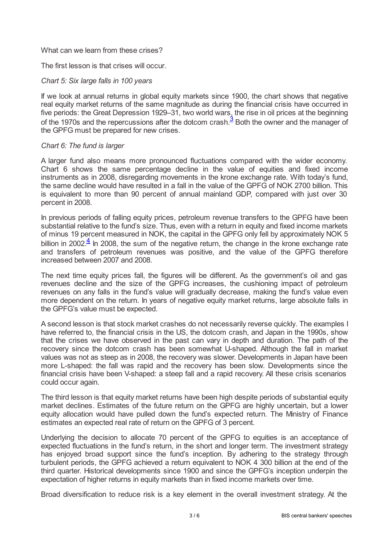#### What can we learn from these crises?

# The first lesson is that crises will occur.

# *Chart 5: Six large falls in 100 years*

If we look at annual returns in global equity markets since 1900, the chart shows that negative real equity market returns of the same magnitude as during the financial crisis have occurred in five periods: the Great Depression 1929–31, two world wars, the rise in oil prices at the beginning of the 1970s and the repercussions after the dotcom crash.  $\frac{3}{3}$  $\frac{3}{3}$  $\frac{3}{3}$  Both the owner and the manager of the GPFG must be prepared for new crises.

#### <span id="page-2-0"></span>*Chart 6: The fund is larger*

A larger fund also means more pronounced fluctuations compared with the wider economy. Chart 6 shows the same percentage decline in the value of equities and fixed income instruments as in 2008, disregarding movements in the krone exchange rate. With today's fund, the same decline would have resulted in a fall in the value of the GPFG of NOK 2700 billion. This is equivalent to more than 90 percent of annual mainland GDP, compared with just over 30 percent in 2008.

<span id="page-2-1"></span>In previous periods of falling equity prices, petroleum revenue transfers to the GPFG have been substantial relative to the fund's size. Thus, even with a return in equity and fixed income markets of minus 19 percent measured in NOK, the capital in the GPFG only fell by approximately NOK 5 billion in 2002 $\frac{4}{5}$  $\frac{4}{5}$  $\frac{4}{5}$  In 2008, the sum of the negative return, the change in the krone exchange rate and transfers of petroleum revenues was positive, and the value of the GPFG therefore increased between 2007 and 2008.

The next time equity prices fall, the figures will be different. As the government's oil and gas revenues decline and the size of the GPFG increases, the cushioning impact of petroleum revenues on any falls in the fund's value will gradually decrease, making the fund's value even more dependent on the return. In years of negative equity market returns, large absolute falls in the GPFG's value must be expected.

A second lesson is that stock market crashes do not necessarily reverse quickly. The examples I have referred to, the financial crisis in the US, the dotcom crash, and Japan in the 1990s, show that the crises we have observed in the past can vary in depth and duration. The path of the recovery since the dotcom crash has been somewhat U-shaped. Although the fall in market values was not as steep as in 2008, the recovery was slower. Developments in Japan have been more L-shaped: the fall was rapid and the recovery has been slow. Developments since the financial crisis have been V-shaped: a steep fall and a rapid recovery. All these crisis scenarios could occur again.

The third lesson is that equity market returns have been high despite periods of substantial equity market declines. Estimates of the future return on the GPFG are highly uncertain, but a lower equity allocation would have pulled down the fund's expected return. The Ministry of Finance estimates an expected real rate of return on the GPFG of 3 percent.

Underlying the decision to allocate 70 percent of the GPFG to equities is an acceptance of expected fluctuations in the fund's return, in the short and longer term. The investment strategy has enjoyed broad support since the fund's inception. By adhering to the strategy through turbulent periods, the GPFG achieved a return equivalent to NOK 4 300 billion at the end of the third quarter. Historical developments since 1900 and since the GPFG's inception underpin the expectation of higher returns in equity markets than in fixed income markets over time.

Broad diversification to reduce risk is a key element in the overall investment strategy. At the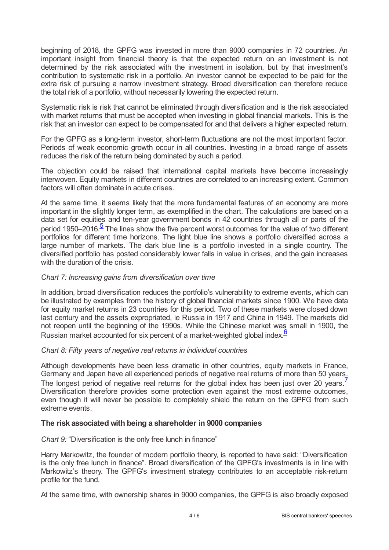beginning of 2018, the GPFG was invested in more than 9000 companies in 72 countries. An important insight from financial theory is that the expected return on an investment is not determined by the risk associated with the investment in isolation, but by that investment's contribution to systematic risk in a portfolio. An investor cannot be expected to be paid for the extra risk of pursuing a narrow investment strategy. Broad diversification can therefore reduce the total risk of a portfolio, without necessarily lowering the expected return.

Systematic risk is risk that cannot be eliminated through diversification and is the risk associated with market returns that must be accepted when investing in global financial markets. This is the risk that an investor can expect to be compensated for and that delivers a higher expected return.

For the GPFG as a long-term investor, short-term fluctuations are not the most important factor. Periods of weak economic growth occur in all countries. Investing in a broad range of assets reduces the risk of the return being dominated by such a period.

The objection could be raised that international capital markets have become increasingly interwoven. Equity markets in different countries are correlated to an increasing extent. Common factors will often dominate in acute crises.

<span id="page-3-0"></span>At the same time, it seems likely that the more fundamental features of an economy are more important in the slightly longer term, as exemplified in the chart. The calculations are based on a data set for equities and ten-year government bonds in 42 countries through all or parts of the period 19[5](#page-5-4)0–2016.<sup>5</sup> The lines show the five percent worst outcomes for the value of two different portfolios for different time horizons. The light blue line shows a portfolio diversified across a large number of markets. The dark blue line is a portfolio invested in a single country. The diversified portfolio has posted considerably lower falls in value in crises, and the gain increases with the duration of the crisis.

# *Chart 7: Increasing gains from diversification over time*

In addition, broad diversification reduces the portfolio's vulnerability to extreme events, which can be illustrated by examples from the history of global financial markets since 1900. We have data for equity market returns in 23 countries for this period. Two of these markets were closed down last century and the assets expropriated, ie Russia in 1917 and China in 1949. The markets did not reopen until the beginning of the 1990s. While the Chinese market was small in 1900, the Russian market accounted for six percent of a market-weighted global index  $6$ 

# <span id="page-3-1"></span>*Chart 8: Fifty years of negative real returns in individual countries*

<span id="page-3-2"></span>Although developments have been less dramatic in other countries, equity markets in France, Germany and Japan have all experienced periods of negative real returns of more than 50 years. The longest period of negative real returns for the global index has been just over 20 years  $\frac{7}{1}$  $\frac{7}{1}$  $\frac{7}{1}$ Diversification therefore provides some protection even against the most extreme outcomes, even though it will never be possible to completely shield the return on the GPFG from such extreme events.

# **The risk associated with being a shareholder in 9000 companies**

*Chart 9:* "Diversification is the only free lunch in finance"

Harry Markowitz, the founder of modern portfolio theory, is reported to have said: "Diversification is the only free lunch in finance". Broad diversification of the GPFG's investments is in line with Markowitz's theory. The GPFG's investment strategy contributes to an acceptable risk-return profile for the fund.

At the same time, with ownership shares in 9000 companies, the GPFG is also broadly exposed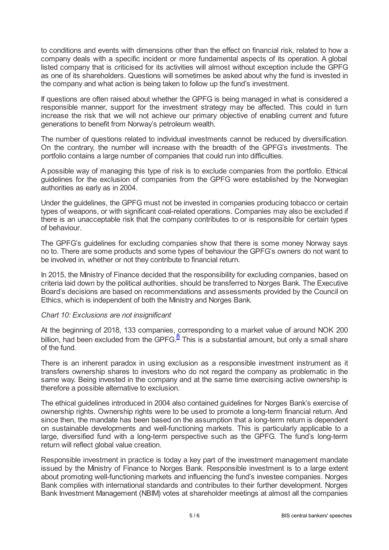to conditions and events with dimensions other than the effect on financial risk, related to how a company deals with a specific incident or more fundamental aspects of its operation. A global listed company that is criticised for its activities will almost without exception include the GPFG as one of its shareholders. Questions will sometimes be asked about why the fund is invested in the company and what action is being taken to follow up the fund's investment.

If questions are often raised about whether the GPFG is being managed in what is considered a responsible manner, support for the investment strategy may be affected. This could in turn increase the risk that we will not achieve our primary objective of enabling current and future generations to benefit from Norway's petroleum wealth.

The number of questions related to individual investments cannot be reduced by diversification. On the contrary, the number will increase with the breadth of the GPFG's investments. The portfolio contains a large number of companies that could run into difficulties.

A possible way of managing this type of risk is to exclude companies from the portfolio. Ethical guidelines for the exclusion of companies from the GPFG were established by the Norwegian authorities as early as in 2004.

Under the guidelines, the GPFG must not be invested in companies producing tobacco or certain types of weapons, or with significant coal-related operations. Companies may also be excluded if there is an unacceptable risk that the company contributes to or is responsible for certain types of behaviour.

The GPFG's guidelines for excluding companies show that there is some money Norway says no to. There are some products and some types of behaviour the GPFG's owners do not want to be involved in, whether or not they contribute to financial return.

In 2015, the Ministry of Finance decided that the responsibility for excluding companies, based on criteria laid down by the political authorities, should be transferred to Norges Bank. The Executive Board's decisions are based on recommendations and assessments provided by the Council on Ethics, which is independent of both the Ministry and Norges Bank.

# *Chart 10: Exclusions are not insignificant*

<span id="page-4-0"></span>At the beginning of 2018, 133 companies, corresponding to a market value of around NOK 200 billion, had been excluded from the GPFG.<sup>[8](#page-5-7)</sup> This is a substantial amount, but only a small share of the fund.

There is an inherent paradox in using exclusion as a responsible investment instrument as it transfers ownership shares to investors who do not regard the company as problematic in the same way. Being invested in the company and at the same time exercising active ownership is therefore a possible alternative to exclusion.

The ethical guidelines introduced in 2004 also contained guidelines for Norges Bank's exercise of ownership rights. Ownership rights were to be used to promote a long-term financial return. And since then, the mandate has been based on the assumption that a long-term return is dependent on sustainable developments and well-functioning markets. This is particularly applicable to a large, diversified fund with a long-term perspective such as the GPFG. The fund's long-term return will reflect global value creation.

Responsible investment in practice is today a key part of the investment management mandate issued by the Ministry of Finance to Norges Bank. Responsible investment is to a large extent about promoting well-functioning markets and influencing the fund's investee companies. Norges Bank complies with international standards and contributes to their further development. Norges Bank Investment Management (NBIM) votes at shareholder meetings at almost all the companies